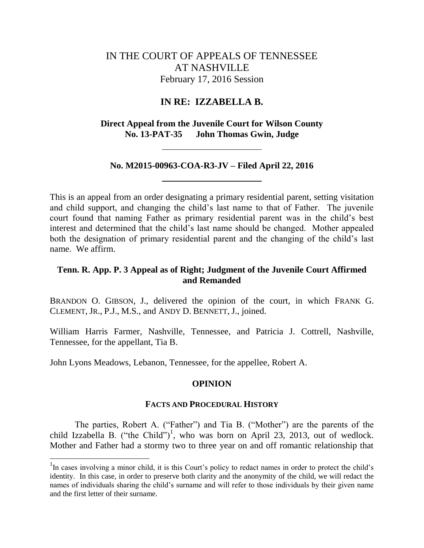# IN THE COURT OF APPEALS OF TENNESSEE AT NASHVILLE February 17, 2016 Session

## **IN RE: IZZABELLA B.**

**Direct Appeal from the Juvenile Court for Wilson County No. 13-PAT-35 John Thomas Gwin, Judge**

## **No. M2015-00963-COA-R3-JV – Filed April 22, 2016**

This is an appeal from an order designating a primary residential parent, setting visitation and child support, and changing the child"s last name to that of Father. The juvenile court found that naming Father as primary residential parent was in the child"s best interest and determined that the child"s last name should be changed. Mother appealed both the designation of primary residential parent and the changing of the child's last name. We affirm.

## **Tenn. R. App. P. 3 Appeal as of Right; Judgment of the Juvenile Court Affirmed and Remanded**

BRANDON O. GIBSON, J., delivered the opinion of the court, in which FRANK G. CLEMENT, JR., P.J., M.S., and ANDY D. BENNETT, J., joined.

William Harris Farmer, Nashville, Tennessee, and Patricia J. Cottrell, Nashville, Tennessee, for the appellant, Tia B.

John Lyons Meadows, Lebanon, Tennessee, for the appellee, Robert A.

l

## **OPINION**

### **FACTS AND PROCEDURAL HISTORY**

The parties, Robert A. ("Father") and Tia B. ("Mother") are the parents of the child Izzabella B. ("the Child")<sup>1</sup>, who was born on April 23, 2013, out of wedlock. Mother and Father had a stormy two to three year on and off romantic relationship that

<sup>&</sup>lt;sup>1</sup>In cases involving a minor child, it is this Court's policy to redact names in order to protect the child's identity. In this case, in order to preserve both clarity and the anonymity of the child, we will redact the names of individuals sharing the child"s surname and will refer to those individuals by their given name and the first letter of their surname.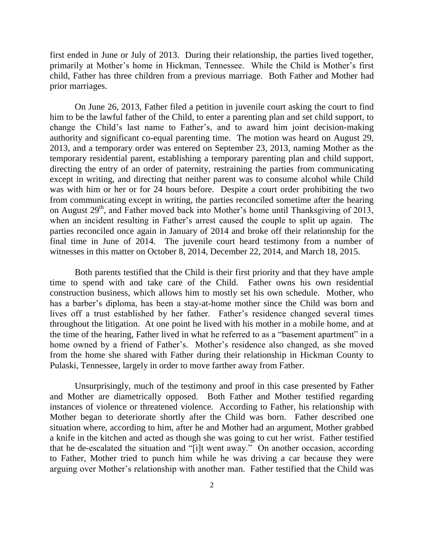first ended in June or July of 2013. During their relationship, the parties lived together, primarily at Mother's home in Hickman, Tennessee. While the Child is Mother's first child, Father has three children from a previous marriage. Both Father and Mother had prior marriages.

On June 26, 2013, Father filed a petition in juvenile court asking the court to find him to be the lawful father of the Child, to enter a parenting plan and set child support, to change the Child"s last name to Father"s, and to award him joint decision-making authority and significant co-equal parenting time. The motion was heard on August 29, 2013, and a temporary order was entered on September 23, 2013, naming Mother as the temporary residential parent, establishing a temporary parenting plan and child support, directing the entry of an order of paternity, restraining the parties from communicating except in writing, and directing that neither parent was to consume alcohol while Child was with him or her or for 24 hours before. Despite a court order prohibiting the two from communicating except in writing, the parties reconciled sometime after the hearing on August 29<sup>th</sup>, and Father moved back into Mother's home until Thanksgiving of 2013, when an incident resulting in Father's arrest caused the couple to split up again. The parties reconciled once again in January of 2014 and broke off their relationship for the final time in June of 2014. The juvenile court heard testimony from a number of witnesses in this matter on October 8, 2014, December 22, 2014, and March 18, 2015.

Both parents testified that the Child is their first priority and that they have ample time to spend with and take care of the Child. Father owns his own residential construction business, which allows him to mostly set his own schedule. Mother, who has a barber's diploma, has been a stay-at-home mother since the Child was born and lives off a trust established by her father. Father"s residence changed several times throughout the litigation. At one point he lived with his mother in a mobile home, and at the time of the hearing, Father lived in what he referred to as a "basement apartment" in a home owned by a friend of Father's. Mother's residence also changed, as she moved from the home she shared with Father during their relationship in Hickman County to Pulaski, Tennessee, largely in order to move farther away from Father.

Unsurprisingly, much of the testimony and proof in this case presented by Father and Mother are diametrically opposed. Both Father and Mother testified regarding instances of violence or threatened violence. According to Father, his relationship with Mother began to deteriorate shortly after the Child was born. Father described one situation where, according to him, after he and Mother had an argument, Mother grabbed a knife in the kitchen and acted as though she was going to cut her wrist. Father testified that he de-escalated the situation and "[i]t went away." On another occasion, according to Father, Mother tried to punch him while he was driving a car because they were arguing over Mother"s relationship with another man. Father testified that the Child was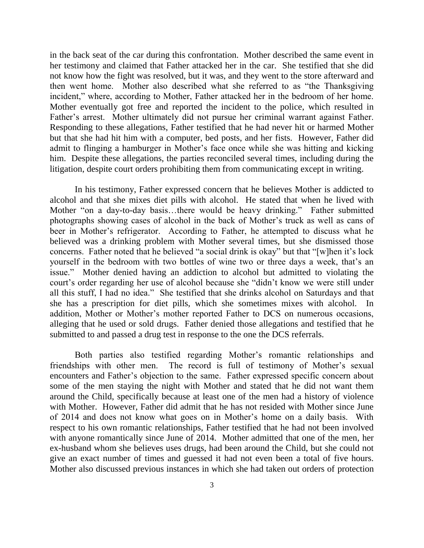in the back seat of the car during this confrontation. Mother described the same event in her testimony and claimed that Father attacked her in the car. She testified that she did not know how the fight was resolved, but it was, and they went to the store afterward and then went home. Mother also described what she referred to as "the Thanksgiving incident," where, according to Mother, Father attacked her in the bedroom of her home. Mother eventually got free and reported the incident to the police, which resulted in Father's arrest. Mother ultimately did not pursue her criminal warrant against Father. Responding to these allegations, Father testified that he had never hit or harmed Mother but that she had hit him with a computer, bed posts, and her fists. However, Father did admit to flinging a hamburger in Mother"s face once while she was hitting and kicking him. Despite these allegations, the parties reconciled several times, including during the litigation, despite court orders prohibiting them from communicating except in writing.

In his testimony, Father expressed concern that he believes Mother is addicted to alcohol and that she mixes diet pills with alcohol. He stated that when he lived with Mother "on a day-to-day basis...there would be heavy drinking." Father submitted photographs showing cases of alcohol in the back of Mother"s truck as well as cans of beer in Mother"s refrigerator. According to Father, he attempted to discuss what he believed was a drinking problem with Mother several times, but she dismissed those concerns. Father noted that he believed "a social drink is okay" but that "[w]hen it's lock yourself in the bedroom with two bottles of wine two or three days a week, that"s an issue." Mother denied having an addiction to alcohol but admitted to violating the court"s order regarding her use of alcohol because she "didn"t know we were still under all this stuff, I had no idea." She testified that she drinks alcohol on Saturdays and that she has a prescription for diet pills, which she sometimes mixes with alcohol. addition, Mother or Mother"s mother reported Father to DCS on numerous occasions, alleging that he used or sold drugs. Father denied those allegations and testified that he submitted to and passed a drug test in response to the one the DCS referrals.

Both parties also testified regarding Mother"s romantic relationships and friendships with other men. The record is full of testimony of Mother"s sexual encounters and Father"s objection to the same. Father expressed specific concern about some of the men staying the night with Mother and stated that he did not want them around the Child, specifically because at least one of the men had a history of violence with Mother. However, Father did admit that he has not resided with Mother since June of 2014 and does not know what goes on in Mother"s home on a daily basis. With respect to his own romantic relationships, Father testified that he had not been involved with anyone romantically since June of 2014. Mother admitted that one of the men, her ex-husband whom she believes uses drugs, had been around the Child, but she could not give an exact number of times and guessed it had not even been a total of five hours. Mother also discussed previous instances in which she had taken out orders of protection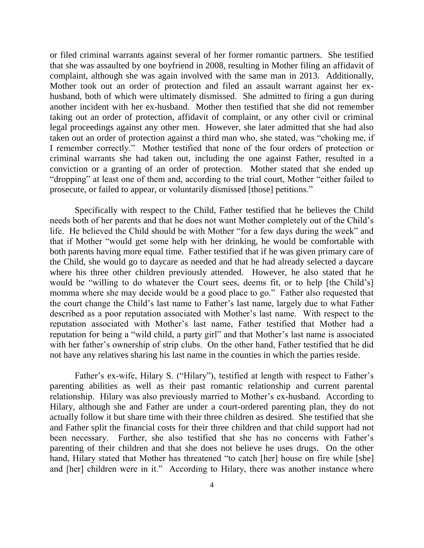or filed criminal warrants against several of her former romantic partners. She testified that she was assaulted by one boyfriend in 2008, resulting in Mother filing an affidavit of complaint, although she was again involved with the same man in 2013. Additionally, Mother took out an order of protection and filed an assault warrant against her exhusband, both of which were ultimately dismissed. She admitted to firing a gun during another incident with her ex-husband. Mother then testified that she did not remember taking out an order of protection, affidavit of complaint, or any other civil or criminal legal proceedings against any other men. However, she later admitted that she had also taken out an order of protection against a third man who, she stated, was "choking me, if I remember correctly." Mother testified that none of the four orders of protection or criminal warrants she had taken out, including the one against Father, resulted in a conviction or a granting of an order of protection. Mother stated that she ended up "dropping" at least one of them and, according to the trial court, Mother "either failed to prosecute, or failed to appear, or voluntarily dismissed [those] petitions."

Specifically with respect to the Child, Father testified that he believes the Child needs both of her parents and that he does not want Mother completely out of the Child"s life. He believed the Child should be with Mother "for a few days during the week" and that if Mother "would get some help with her drinking, he would be comfortable with both parents having more equal time. Father testified that if he was given primary care of the Child, she would go to daycare as needed and that he had already selected a daycare where his three other children previously attended. However, he also stated that he would be "willing to do whatever the Court sees, deems fit, or to help [the Child's] momma where she may decide would be a good place to go." Father also requested that the court change the Child"s last name to Father"s last name, largely due to what Father described as a poor reputation associated with Mother"s last name. With respect to the reputation associated with Mother"s last name, Father testified that Mother had a reputation for being a "wild child, a party girl" and that Mother"s last name is associated with her father's ownership of strip clubs. On the other hand, Father testified that he did not have any relatives sharing his last name in the counties in which the parties reside.

Father's ex-wife, Hilary S. ("Hilary"), testified at length with respect to Father's parenting abilities as well as their past romantic relationship and current parental relationship. Hilary was also previously married to Mother"s ex-husband. According to Hilary, although she and Father are under a court-ordered parenting plan, they do not actually follow it but share time with their three children as desired. She testified that she and Father split the financial costs for their three children and that child support had not been necessary. Further, she also testified that she has no concerns with Father's parenting of their children and that she does not believe he uses drugs. On the other hand, Hilary stated that Mother has threatened "to catch [her] house on fire while [she] and [her] children were in it." According to Hilary, there was another instance where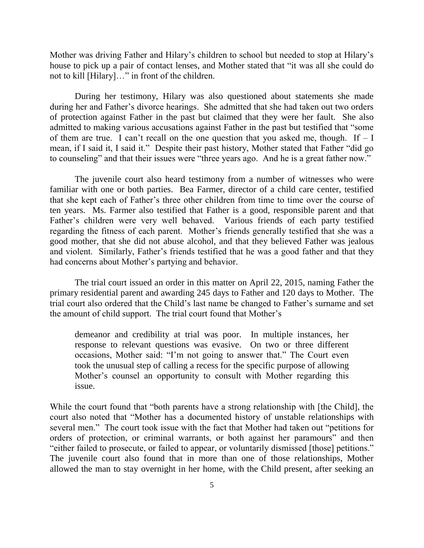Mother was driving Father and Hilary"s children to school but needed to stop at Hilary"s house to pick up a pair of contact lenses, and Mother stated that "it was all she could do not to kill [Hilary]…" in front of the children.

During her testimony, Hilary was also questioned about statements she made during her and Father"s divorce hearings. She admitted that she had taken out two orders of protection against Father in the past but claimed that they were her fault. She also admitted to making various accusations against Father in the past but testified that "some of them are true. I can't recall on the one question that you asked me, though. If  $-1$ mean, if I said it, I said it." Despite their past history, Mother stated that Father "did go to counseling" and that their issues were "three years ago. And he is a great father now."

The juvenile court also heard testimony from a number of witnesses who were familiar with one or both parties. Bea Farmer, director of a child care center, testified that she kept each of Father"s three other children from time to time over the course of ten years. Ms. Farmer also testified that Father is a good, responsible parent and that Father"s children were very well behaved. Various friends of each party testified regarding the fitness of each parent. Mother"s friends generally testified that she was a good mother, that she did not abuse alcohol, and that they believed Father was jealous and violent. Similarly, Father"s friends testified that he was a good father and that they had concerns about Mother"s partying and behavior.

The trial court issued an order in this matter on April 22, 2015, naming Father the primary residential parent and awarding 245 days to Father and 120 days to Mother. The trial court also ordered that the Child"s last name be changed to Father"s surname and set the amount of child support. The trial court found that Mother"s

demeanor and credibility at trial was poor. In multiple instances, her response to relevant questions was evasive. On two or three different occasions, Mother said: "I"m not going to answer that." The Court even took the unusual step of calling a recess for the specific purpose of allowing Mother"s counsel an opportunity to consult with Mother regarding this issue.

While the court found that "both parents have a strong relationship with [the Child], the court also noted that "Mother has a documented history of unstable relationships with several men." The court took issue with the fact that Mother had taken out "petitions for orders of protection, or criminal warrants, or both against her paramours" and then "either failed to prosecute, or failed to appear, or voluntarily dismissed [those] petitions." The juvenile court also found that in more than one of those relationships, Mother allowed the man to stay overnight in her home, with the Child present, after seeking an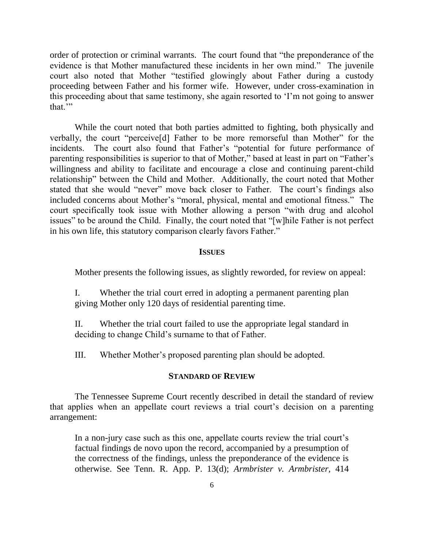order of protection or criminal warrants. The court found that "the preponderance of the evidence is that Mother manufactured these incidents in her own mind." The juvenile court also noted that Mother "testified glowingly about Father during a custody proceeding between Father and his former wife. However, under cross-examination in this proceeding about that same testimony, she again resorted to "I"m not going to answer that.""

While the court noted that both parties admitted to fighting, both physically and verbally, the court "perceive[d] Father to be more remorseful than Mother" for the incidents. The court also found that Father's "potential for future performance of parenting responsibilities is superior to that of Mother," based at least in part on "Father"s willingness and ability to facilitate and encourage a close and continuing parent-child relationship" between the Child and Mother. Additionally, the court noted that Mother stated that she would "never" move back closer to Father. The court's findings also included concerns about Mother's "moral, physical, mental and emotional fitness." The court specifically took issue with Mother allowing a person "with drug and alcohol issues" to be around the Child. Finally, the court noted that "[w]hile Father is not perfect in his own life, this statutory comparison clearly favors Father."

#### **ISSUES**

Mother presents the following issues, as slightly reworded, for review on appeal:

I. Whether the trial court erred in adopting a permanent parenting plan giving Mother only 120 days of residential parenting time.

II. Whether the trial court failed to use the appropriate legal standard in deciding to change Child"s surname to that of Father.

III. Whether Mother"s proposed parenting plan should be adopted.

#### **STANDARD OF REVIEW**

The Tennessee Supreme Court recently described in detail the standard of review that applies when an appellate court reviews a trial court's decision on a parenting arrangement:

In a non-jury case such as this one, appellate courts review the trial court's factual findings de novo upon the record, accompanied by a presumption of the correctness of the findings, unless the preponderance of the evidence is otherwise. See Tenn. R. App. P. 13(d); *Armbrister v. Armbrister,* 414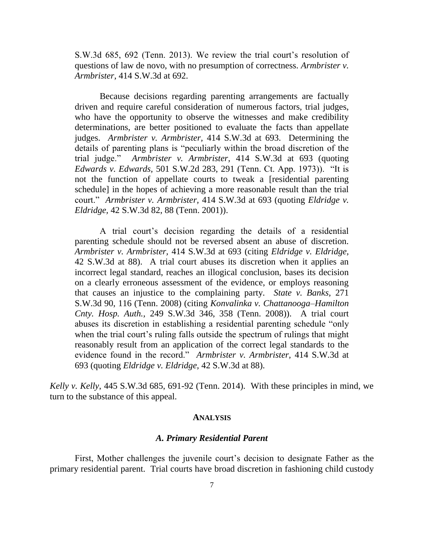S.W.3d 685, 692 (Tenn. 2013). We review the trial court's resolution of questions of law de novo, with no presumption of correctness. *Armbrister v. Armbrister,* 414 S.W.3d at 692.

Because decisions regarding parenting arrangements are factually driven and require careful consideration of numerous factors, trial judges, who have the opportunity to observe the witnesses and make credibility determinations, are better positioned to evaluate the facts than appellate judges. *Armbrister v. Armbrister,* 414 S.W.3d at 693. Determining the details of parenting plans is "peculiarly within the broad discretion of the trial judge." *Armbrister v. Armbrister,* 414 S.W.3d at 693 (quoting *Edwards v. Edwards,* 501 S.W.2d 283, 291 (Tenn. Ct. App. 1973)). "It is not the function of appellate courts to tweak a [residential parenting schedule] in the hopes of achieving a more reasonable result than the trial court." *Armbrister v. Armbrister,* 414 S.W.3d at 693 (quoting *Eldridge v. Eldridge,* 42 S.W.3d 82, 88 (Tenn. 2001)).

A trial court"s decision regarding the details of a residential parenting schedule should not be reversed absent an abuse of discretion. *Armbrister v. Armbrister,* 414 S.W.3d at 693 (citing *Eldridge v. Eldridge,* 42 S.W.3d at 88). A trial court abuses its discretion when it applies an incorrect legal standard, reaches an illogical conclusion, bases its decision on a clearly erroneous assessment of the evidence, or employs reasoning that causes an injustice to the complaining party. *State v. Banks,* 271 S.W.3d 90, 116 (Tenn. 2008) (citing *Konvalinka v. Chattanooga–Hamilton Cnty. Hosp. Auth.,* 249 S.W.3d 346, 358 (Tenn. 2008)). A trial court abuses its discretion in establishing a residential parenting schedule "only when the trial court's ruling falls outside the spectrum of rulings that might reasonably result from an application of the correct legal standards to the evidence found in the record." *Armbrister v. Armbrister,* 414 S.W.3d at 693 (quoting *Eldridge v. Eldridge,* 42 S.W.3d at 88).

*Kelly v. Kelly*, 445 S.W.3d 685, 691-92 (Tenn. 2014). With these principles in mind, we turn to the substance of this appeal.

#### **ANALYSIS**

#### *A. Primary Residential Parent*

First, Mother challenges the juvenile court's decision to designate Father as the primary residential parent. Trial courts have broad discretion in fashioning child custody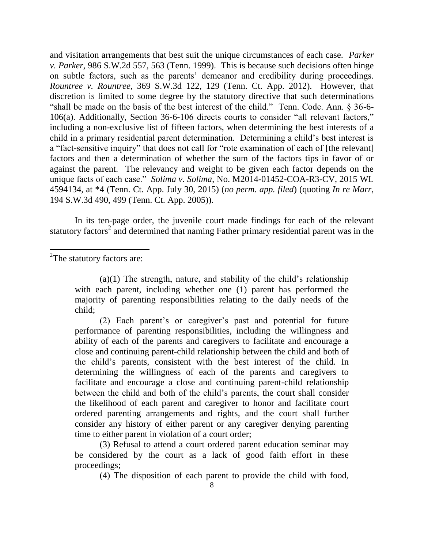and visitation arrangements that best suit the unique circumstances of each case. *Parker v. Parker*, 986 S.W.2d 557, 563 (Tenn. 1999). This is because such decisions often hinge on subtle factors, such as the parents" demeanor and credibility during proceedings. *Rountree v. Rountree*, 369 S.W.3d 122, 129 (Tenn. Ct. App. 2012). However, that discretion is limited to some degree by the statutory directive that such determinations "shall be made on the basis of the best interest of the child." Tenn. Code. Ann. § 36-6- 106(a). Additionally, Section 36-6-106 directs courts to consider "all relevant factors," including a non-exclusive list of fifteen factors, when determining the best interests of a child in a primary residential parent determination. Determining a child"s best interest is a "fact-sensitive inquiry" that does not call for "rote examination of each of [the relevant] factors and then a determination of whether the sum of the factors tips in favor of or against the parent. The relevancy and weight to be given each factor depends on the unique facts of each case." *Solima v. Solima*, No. M2014-01452-COA-R3-CV, 2015 WL 4594134, at \*4 (Tenn. Ct. App. July 30, 2015) (*no perm. app. filed*) (quoting *In re Marr*, 194 S.W.3d 490, 499 (Tenn. Ct. App. 2005)).

In its ten-page order, the juvenile court made findings for each of the relevant statutory factors<sup>2</sup> and determined that naming Father primary residential parent was in the

 $2$ The statutory factors are:

l

 $(a)(1)$  The strength, nature, and stability of the child's relationship with each parent, including whether one (1) parent has performed the majority of parenting responsibilities relating to the daily needs of the child;

(2) Each parent"s or caregiver"s past and potential for future performance of parenting responsibilities, including the willingness and ability of each of the parents and caregivers to facilitate and encourage a close and continuing parent-child relationship between the child and both of the child"s parents, consistent with the best interest of the child. In determining the willingness of each of the parents and caregivers to facilitate and encourage a close and continuing parent-child relationship between the child and both of the child"s parents, the court shall consider the likelihood of each parent and caregiver to honor and facilitate court ordered parenting arrangements and rights, and the court shall further consider any history of either parent or any caregiver denying parenting time to either parent in violation of a court order;

(3) Refusal to attend a court ordered parent education seminar may be considered by the court as a lack of good faith effort in these proceedings;

(4) The disposition of each parent to provide the child with food,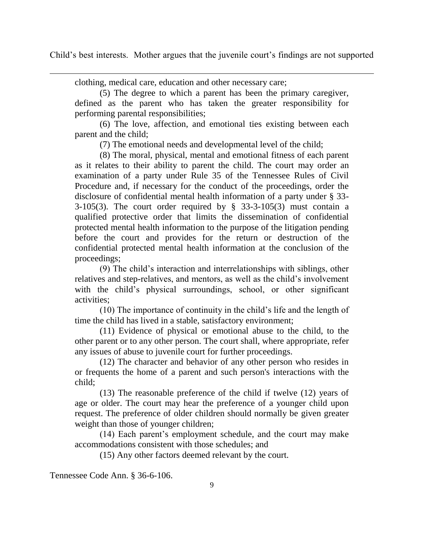Child's best interests. Mother argues that the juvenile court's findings are not supported

clothing, medical care, education and other necessary care;

l

(5) The degree to which a parent has been the primary caregiver, defined as the parent who has taken the greater responsibility for performing parental responsibilities;

(6) The love, affection, and emotional ties existing between each parent and the child;

(7) The emotional needs and developmental level of the child;

(8) The moral, physical, mental and emotional fitness of each parent as it relates to their ability to parent the child. The court may order an examination of a party under Rule 35 of the Tennessee Rules of Civil Procedure and, if necessary for the conduct of the proceedings, order the disclosure of confidential mental health information of a party under § 33- 3-105(3). The court order required by  $\S$  33-3-105(3) must contain a qualified protective order that limits the dissemination of confidential protected mental health information to the purpose of the litigation pending before the court and provides for the return or destruction of the confidential protected mental health information at the conclusion of the proceedings;

(9) The child"s interaction and interrelationships with siblings, other relatives and step-relatives, and mentors, as well as the child"s involvement with the child's physical surroundings, school, or other significant activities;

(10) The importance of continuity in the child"s life and the length of time the child has lived in a stable, satisfactory environment;

(11) Evidence of physical or emotional abuse to the child, to the other parent or to any other person. The court shall, where appropriate, refer any issues of abuse to juvenile court for further proceedings.

(12) The character and behavior of any other person who resides in or frequents the home of a parent and such person's interactions with the child;

(13) The reasonable preference of the child if twelve (12) years of age or older. The court may hear the preference of a younger child upon request. The preference of older children should normally be given greater weight than those of younger children;

(14) Each parent"s employment schedule, and the court may make accommodations consistent with those schedules; and

(15) Any other factors deemed relevant by the court.

Tennessee Code Ann. § 36-6-106.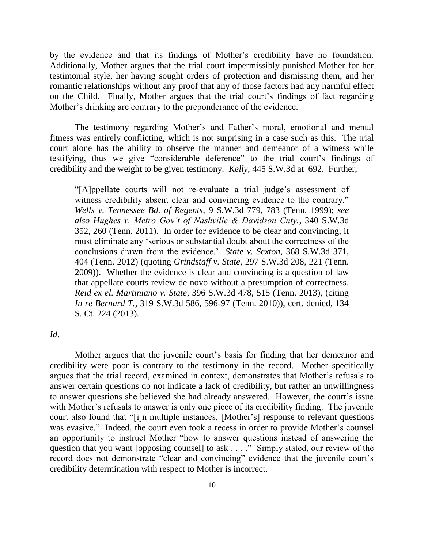by the evidence and that its findings of Mother"s credibility have no foundation. Additionally, Mother argues that the trial court impermissibly punished Mother for her testimonial style, her having sought orders of protection and dismissing them, and her romantic relationships without any proof that any of those factors had any harmful effect on the Child. Finally, Mother argues that the trial court's findings of fact regarding Mother"s drinking are contrary to the preponderance of the evidence.

The testimony regarding Mother's and Father's moral, emotional and mental fitness was entirely conflicting, which is not surprising in a case such as this. The trial court alone has the ability to observe the manner and demeanor of a witness while testifying, thus we give "considerable deference" to the trial court"s findings of credibility and the weight to be given testimony. *Kelly*, 445 S.W.3d at 692. Further,

"[A]ppellate courts will not re-evaluate a trial judge"s assessment of witness credibility absent clear and convincing evidence to the contrary." *Wells v. Tennessee Bd. of Regents*, 9 S.W.3d 779, 783 (Tenn. 1999); *see also Hughes v. Metro Gov't of Nashville & Davidson Cnty.*, 340 S.W.3d 352, 260 (Tenn. 2011). In order for evidence to be clear and convincing, it must eliminate any "serious or substantial doubt about the correctness of the conclusions drawn from the evidence." *State v. Sexton*, 368 S.W.3d 371, 404 (Tenn. 2012) (quoting *Grindstaff v. State*, 297 S.W.3d 208, 221 (Tenn. 2009)). Whether the evidence is clear and convincing is a question of law that appellate courts review de novo without a presumption of correctness. *Reid ex el. Martiniano v. State*, 396 S.W.3d 478, 515 (Tenn. 2013), (citing *In re Bernard T.*, 319 S.W.3d 586, 596-97 (Tenn. 2010)), cert. denied, 134 S. Ct. 224 (2013).

## *Id*.

Mother argues that the juvenile court's basis for finding that her demeanor and credibility were poor is contrary to the testimony in the record. Mother specifically argues that the trial record, examined in context, demonstrates that Mother"s refusals to answer certain questions do not indicate a lack of credibility, but rather an unwillingness to answer questions she believed she had already answered. However, the court"s issue with Mother's refusals to answer is only one piece of its credibility finding. The juvenile court also found that "[i]n multiple instances, [Mother"s] response to relevant questions was evasive." Indeed, the court even took a recess in order to provide Mother's counsel an opportunity to instruct Mother "how to answer questions instead of answering the question that you want [opposing counsel] to ask . . . ." Simply stated, our review of the record does not demonstrate "clear and convincing" evidence that the juvenile court's credibility determination with respect to Mother is incorrect.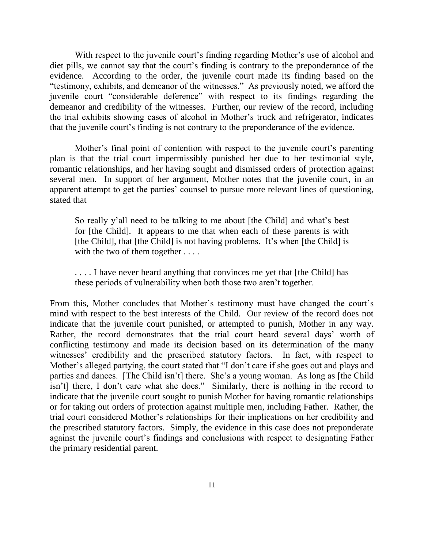With respect to the juvenile court's finding regarding Mother's use of alcohol and diet pills, we cannot say that the court's finding is contrary to the preponderance of the evidence. According to the order, the juvenile court made its finding based on the "testimony, exhibits, and demeanor of the witnesses." As previously noted, we afford the juvenile court "considerable deference" with respect to its findings regarding the demeanor and credibility of the witnesses. Further, our review of the record, including the trial exhibits showing cases of alcohol in Mother"s truck and refrigerator, indicates that the juvenile court's finding is not contrary to the preponderance of the evidence.

Mother's final point of contention with respect to the juvenile court's parenting plan is that the trial court impermissibly punished her due to her testimonial style, romantic relationships, and her having sought and dismissed orders of protection against several men. In support of her argument, Mother notes that the juvenile court, in an apparent attempt to get the parties' counsel to pursue more relevant lines of questioning, stated that

So really y'all need to be talking to me about [the Child] and what's best for [the Child]. It appears to me that when each of these parents is with [the Child], that [the Child] is not having problems. It's when [the Child] is with the two of them together . . . .

.... I have never heard anything that convinces me yet that [the Child] has these periods of vulnerability when both those two aren"t together.

From this, Mother concludes that Mother's testimony must have changed the court's mind with respect to the best interests of the Child. Our review of the record does not indicate that the juvenile court punished, or attempted to punish, Mother in any way. Rather, the record demonstrates that the trial court heard several days' worth of conflicting testimony and made its decision based on its determination of the many witnesses' credibility and the prescribed statutory factors. In fact, with respect to Mother's alleged partying, the court stated that "I don't care if she goes out and plays and parties and dances. [The Child isn't] there. She's a young woman. As long as [the Child isn"t] there, I don"t care what she does." Similarly, there is nothing in the record to indicate that the juvenile court sought to punish Mother for having romantic relationships or for taking out orders of protection against multiple men, including Father. Rather, the trial court considered Mother"s relationships for their implications on her credibility and the prescribed statutory factors. Simply, the evidence in this case does not preponderate against the juvenile court's findings and conclusions with respect to designating Father the primary residential parent.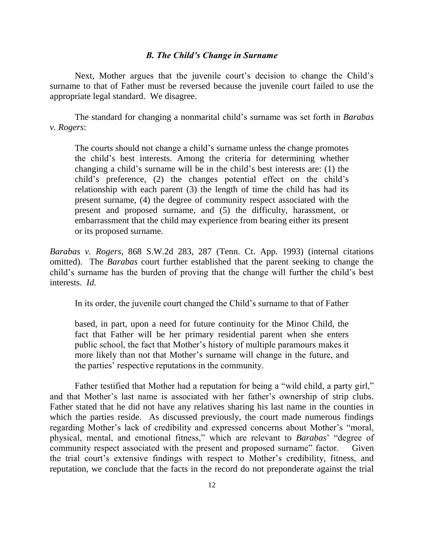#### *B. The Child's Change in Surname*

Next, Mother argues that the juvenile court's decision to change the Child's surname to that of Father must be reversed because the juvenile court failed to use the appropriate legal standard. We disagree.

The standard for changing a nonmarital child"s surname was set forth in *Barabas v. Rogers*:

The courts should not change a child's surname unless the change promotes the child"s best interests. Among the criteria for determining whether changing a child"s surname will be in the child"s best interests are: (1) the child"s preference, (2) the changes potential effect on the child"s relationship with each parent (3) the length of time the child has had its present surname, (4) the degree of community respect associated with the present and proposed surname, and (5) the difficulty, harassment, or embarrassment that the child may experience from bearing either its present or its proposed surname.

*Barabas v. Rogers*, 868 S.W.2d 283, 287 (Tenn. Ct. App. 1993) (internal citations omitted). The *Barabas* court further established that the parent seeking to change the child"s surname has the burden of proving that the change will further the child"s best interests. *Id.*

In its order, the juvenile court changed the Child"s surname to that of Father

based, in part, upon a need for future continuity for the Minor Child, the fact that Father will be her primary residential parent when she enters public school, the fact that Mother"s history of multiple paramours makes it more likely than not that Mother"s surname will change in the future, and the parties" respective reputations in the community.

Father testified that Mother had a reputation for being a "wild child, a party girl," and that Mother"s last name is associated with her father"s ownership of strip clubs. Father stated that he did not have any relatives sharing his last name in the counties in which the parties reside. As discussed previously, the court made numerous findings regarding Mother"s lack of credibility and expressed concerns about Mother"s "moral, physical, mental, and emotional fitness," which are relevant to *Barabas*" "degree of community respect associated with the present and proposed surname" factor. Given the trial court's extensive findings with respect to Mother's credibility, fitness, and reputation, we conclude that the facts in the record do not preponderate against the trial